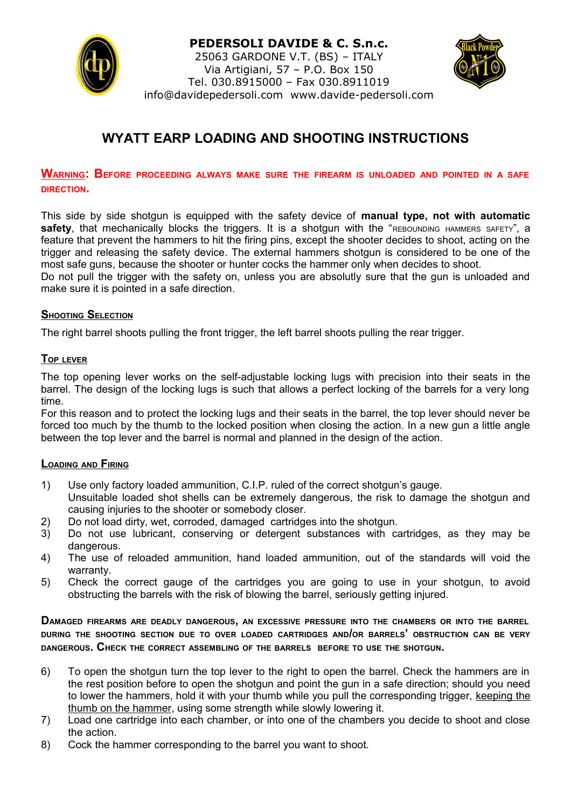

#### **PEDERSOLI DAVIDE & C. S.n.c.**

25063 GARDONE V.T. (BS) – ITALY Via Artigiani, 57 – P.O. Box 150 Tel. 030.8915000 – Fax 030.8911019 info@davidepedersoli.com www.davide-pedersoli.com



# **WYATT EARP LOADING AND SHOOTING INSTRUCTIONS**

# **WARNING: BEFORE PROCEEDING ALWAYS MAKE SURE THE FIREARM IS UNLOADED AND POINTED IN <sup>A</sup> SAFE DIRECTION.**

This side by side shotgun is equipped with the safety device of **manual type, not with automatic** safety, that mechanically blocks the triggers. It is a shotgun with the "REBOUNDING HAMMERS SAFETY", a feature that prevent the hammers to hit the firing pins, except the shooter decides to shoot, acting on the trigger and releasing the safety device. The external hammers shotgun is considered to be one of the most safe guns, because the shooter or hunter cocks the hammer only when decides to shoot. Do not pull the trigger with the safety on, unless you are absolutly sure that the gun is unloaded and make sure it is pointed in a safe direction.

## **SHOOTING SELECTION**

The right barrel shoots pulling the front trigger, the left barrel shoots pulling the rear trigger.

#### **TOP LEVER**

The top opening lever works on the self-adjustable locking lugs with precision into their seats in the barrel. The design of the locking lugs is such that allows a perfect locking of the barrels for a very long time.

For this reason and to protect the locking lugs and their seats in the barrel, the top lever should never be forced too much by the thumb to the locked position when closing the action. In a new gun a little angle between the top lever and the barrel is normal and planned in the design of the action.

#### **LOADING AND FIRING**

- 1) Use only factory loaded ammunition, C.I.P. ruled of the correct shotgun's gauge.
- Unsuitable loaded shot shells can be extremely dangerous, the risk to damage the shotgun and causing injuries to the shooter or somebody closer.
- 2) Do not load dirty, wet, corroded, damaged cartridges into the shotgun.
- 3) Do not use lubricant, conserving or detergent substances with cartridges, as they may be dangerous.
- 4) The use of reloaded ammunition, hand loaded ammunition, out of the standards will void the warranty.
- 5) Check the correct gauge of the cartridges you are going to use in your shotgun, to avoid obstructing the barrels with the risk of blowing the barrel, seriously getting injured.

**DAMAGED FIREARMS ARE DEADLY DANGEROUS, AN EXCESSIVE PRESSURE INTO THE CHAMBERS OR INTO THE BARREL DURING THE SHOOTING SECTION DUE TO OVER LOADED CARTRIDGES AND/OR BARRELS' OBSTRUCTION CAN BE VERY DANGEROUS. CHECK THE CORRECT ASSEMBLING OF THE BARRELS BEFORE TO USE THE SHOTGUN.**

- 6) To open the shotgun turn the top lever to the right to open the barrel. Check the hammers are in the rest position before to open the shotgun and point the gun in a safe direction; should you need to lower the hammers, hold it with your thumb while you pull the corresponding trigger, keeping the thumb on the hammer, using some strength while slowly lowering it.
- 7) Load one cartridge into each chamber, or into one of the chambers you decide to shoot and close the action.
- 8) Cock the hammer corresponding to the barrel you want to shoot.